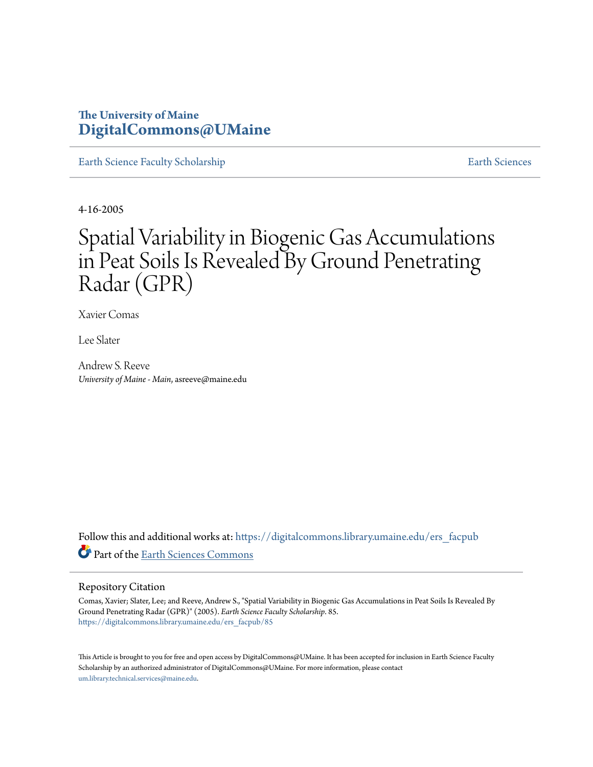## **The University of Maine [DigitalCommons@UMaine](https://digitalcommons.library.umaine.edu?utm_source=digitalcommons.library.umaine.edu%2Fers_facpub%2F85&utm_medium=PDF&utm_campaign=PDFCoverPages)**

[Earth Science Faculty Scholarship](https://digitalcommons.library.umaine.edu/ers_facpub?utm_source=digitalcommons.library.umaine.edu%2Fers_facpub%2F85&utm_medium=PDF&utm_campaign=PDFCoverPages) **[Earth Sciences](https://digitalcommons.library.umaine.edu/ers?utm_source=digitalcommons.library.umaine.edu%2Fers_facpub%2F85&utm_medium=PDF&utm_campaign=PDFCoverPages)** 

4-16-2005

# Spatial Variability in Biogenic Gas Accumulations in Peat Soils Is Revealed By Ground Penetrating Radar (GPR)

Xavier Comas

Lee Slater

Andrew S. Reeve *University of Maine - Main*, asreeve@maine.edu

Follow this and additional works at: [https://digitalcommons.library.umaine.edu/ers\\_facpub](https://digitalcommons.library.umaine.edu/ers_facpub?utm_source=digitalcommons.library.umaine.edu%2Fers_facpub%2F85&utm_medium=PDF&utm_campaign=PDFCoverPages) Part of the [Earth Sciences Commons](http://network.bepress.com/hgg/discipline/153?utm_source=digitalcommons.library.umaine.edu%2Fers_facpub%2F85&utm_medium=PDF&utm_campaign=PDFCoverPages)

### Repository Citation

Comas, Xavier; Slater, Lee; and Reeve, Andrew S., "Spatial Variability in Biogenic Gas Accumulations in Peat Soils Is Revealed By Ground Penetrating Radar (GPR)" (2005). *Earth Science Faculty Scholarship*. 85. [https://digitalcommons.library.umaine.edu/ers\\_facpub/85](https://digitalcommons.library.umaine.edu/ers_facpub/85?utm_source=digitalcommons.library.umaine.edu%2Fers_facpub%2F85&utm_medium=PDF&utm_campaign=PDFCoverPages)

This Article is brought to you for free and open access by DigitalCommons@UMaine. It has been accepted for inclusion in Earth Science Faculty Scholarship by an authorized administrator of DigitalCommons@UMaine. For more information, please contact [um.library.technical.services@maine.edu](mailto:um.library.technical.services@maine.edu).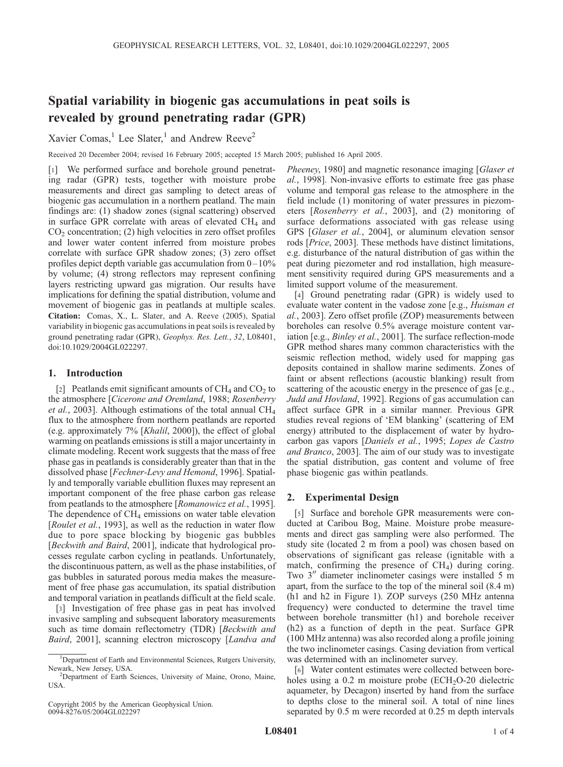## Spatial variability in biogenic gas accumulations in peat soils is revealed by ground penetrating radar (GPR)

Xavier Comas,<sup>1</sup> Lee Slater,<sup>1</sup> and Andrew Reeve<sup>2</sup>

Received 20 December 2004; revised 16 February 2005; accepted 15 March 2005; published 16 April 2005.

[1] We performed surface and borehole ground penetrating radar (GPR) tests, together with moisture probe measurements and direct gas sampling to detect areas of biogenic gas accumulation in a northern peatland. The main findings are: (1) shadow zones (signal scattering) observed in surface GPR correlate with areas of elevated  $CH<sub>4</sub>$  and  $CO<sub>2</sub>$  concentration; (2) high velocities in zero offset profiles and lower water content inferred from moisture probes correlate with surface GPR shadow zones; (3) zero offset profiles depict depth variable gas accumulation from  $0-10\%$ by volume; (4) strong reflectors may represent confining layers restricting upward gas migration. Our results have implications for defining the spatial distribution, volume and movement of biogenic gas in peatlands at multiple scales. Citation: Comas, X., L. Slater, and A. Reeve (2005), Spatial variability in biogenic gas accumulations in peat soils is revealed by ground penetrating radar (GPR), Geophys. Res. Lett., 32, L08401, doi:10.1029/2004GL022297.

#### 1. Introduction

[2] Peatlands emit significant amounts of  $CH_4$  and  $CO<sub>2</sub>$  to the atmosphere [Cicerone and Oremland, 1988; Rosenberry et al., 2003]. Although estimations of the total annual  $CH<sub>4</sub>$ flux to the atmosphere from northern peatlands are reported (e.g. approximately 7% [Khalil, 2000]), the effect of global warming on peatlands emissions is still a major uncertainty in climate modeling. Recent work suggests that the mass of free phase gas in peatlands is considerably greater than that in the dissolved phase [Fechner-Levy and Hemond, 1996]. Spatially and temporally variable ebullition fluxes may represent an important component of the free phase carbon gas release from peatlands to the atmosphere [Romanowicz et al., 1995]. The dependence of  $CH_4$  emissions on water table elevation [Roulet et al., 1993], as well as the reduction in water flow due to pore space blocking by biogenic gas bubbles [Beckwith and Baird, 2001], indicate that hydrological processes regulate carbon cycling in peatlands. Unfortunately, the discontinuous pattern, as well as the phase instabilities, of gas bubbles in saturated porous media makes the measurement of free phase gas accumulation, its spatial distribution and temporal variation in peatlands difficult at the field scale.

[3] Investigation of free phase gas in peat has involved invasive sampling and subsequent laboratory measurements such as time domain reflectometry (TDR) [Beckwith and Baird, 2001], scanning electron microscopy [Landva and

Copyright 2005 by the American Geophysical Union. 0094-8276/05/2004GL022297

Pheeney, 1980] and magnetic resonance imaging [Glaser et al., 1998]. Non-invasive efforts to estimate free gas phase volume and temporal gas release to the atmosphere in the field include (1) monitoring of water pressures in piezometers [Rosenberry et al., 2003], and (2) monitoring of surface deformations associated with gas release using GPS [Glaser et al., 2004], or aluminum elevation sensor rods [Price, 2003]. These methods have distinct limitations, e.g. disturbance of the natural distribution of gas within the peat during piezometer and rod installation, high measurement sensitivity required during GPS measurements and a limited support volume of the measurement.

[4] Ground penetrating radar (GPR) is widely used to evaluate water content in the vadose zone [e.g., *Huisman et* al., 2003]. Zero offset profile (ZOP) measurements between boreholes can resolve 0.5% average moisture content variation [e.g., Binley et al., 2001]. The surface reflection-mode GPR method shares many common characteristics with the seismic reflection method, widely used for mapping gas deposits contained in shallow marine sediments. Zones of faint or absent reflections (acoustic blanking) result from scattering of the acoustic energy in the presence of gas [e.g., Judd and Hovland, 1992]. Regions of gas accumulation can affect surface GPR in a similar manner. Previous GPR studies reveal regions of 'EM blanking' (scattering of EM energy) attributed to the displacement of water by hydrocarbon gas vapors [Daniels et al., 1995; Lopes de Castro and Branco, 2003]. The aim of our study was to investigate the spatial distribution, gas content and volume of free phase biogenic gas within peatlands.

#### 2. Experimental Design

[5] Surface and borehole GPR measurements were conducted at Caribou Bog, Maine. Moisture probe measurements and direct gas sampling were also performed. The study site (located 2 m from a pool) was chosen based on observations of significant gas release (ignitable with a match, confirming the presence of  $CH<sub>4</sub>$ ) during coring. Two 3" diameter inclinometer casings were installed 5 m apart, from the surface to the top of the mineral soil (8.4 m) (h1 and h2 in Figure 1). ZOP surveys (250 MHz antenna frequency) were conducted to determine the travel time between borehole transmitter (h1) and borehole receiver (h2) as a function of depth in the peat. Surface GPR (100 MHz antenna) was also recorded along a profile joining the two inclinometer casings. Casing deviation from vertical was determined with an inclinometer survey.

[6] Water content estimates were collected between boreholes using a  $0.2$  m moisture probe (ECH<sub>2</sub>O-20 dielectric aquameter, by Decagon) inserted by hand from the surface to depths close to the mineral soil. A total of nine lines separated by 0.5 m were recorded at 0.25 m depth intervals

<sup>&</sup>lt;sup>1</sup>Department of Earth and Environmental Sciences, Rutgers University, Newark, New Jersey, USA. <sup>2</sup>

<sup>&</sup>lt;sup>2</sup>Department of Earth Sciences, University of Maine, Orono, Maine, USA.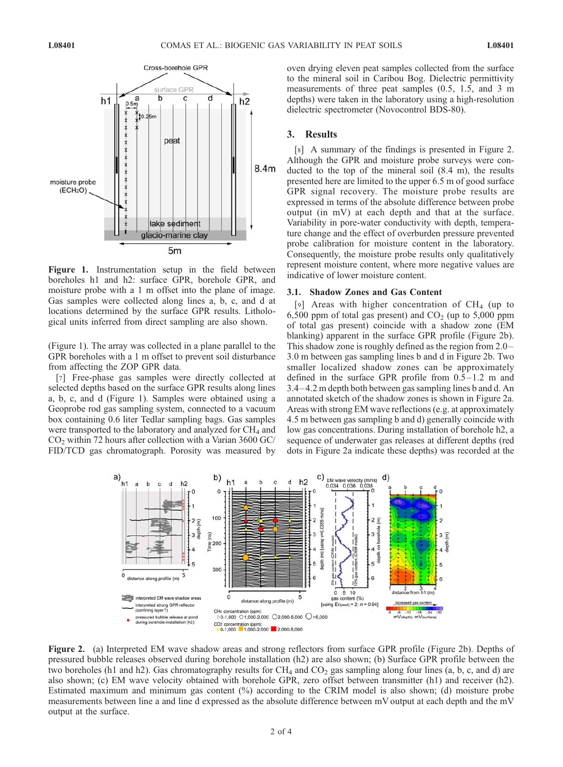

Figure 1. Instrumentation setup in the field between boreholes h1 and h2: surface GPR, borehole GPR, and moisture probe with a 1 m offset into the plane of image. Gas samples were collected along lines a, b, c, and d at locations determined by the surface GPR results. Lithological units inferred from direct sampling are also shown.

(Figure 1). The array was collected in a plane parallel to the GPR boreholes with a 1 m offset to prevent soil disturbance from affecting the ZOP GPR data.

[7] Free-phase gas samples were directly collected at selected depths based on the surface GPR results along lines a, b, c, and d (Figure 1). Samples were obtained using a Geoprobe rod gas sampling system, connected to a vacuum box containing 0.6 liter Tedlar sampling bags. Gas samples were transported to the laboratory and analyzed for CH<sub>4</sub> and  $CO<sub>2</sub>$  within 72 hours after collection with a Varian 3600 GC/ FID/TCD gas chromatograph. Porosity was measured by oven drying eleven peat samples collected from the surface to the mineral soil in Caribou Bog. Dielectric permittivity measurements of three peat samples (0.5, 1.5, and 3 m depths) were taken in the laboratory using a high-resolution dielectric spectrometer (Novocontrol BDS-80).

#### 3. Results

[8] A summary of the findings is presented in Figure 2. Although the GPR and moisture probe surveys were conducted to the top of the mineral soil (8.4 m), the results presented here are limited to the upper 6.5 m of good surface GPR signal recovery. The moisture probe results are expressed in terms of the absolute difference between probe output (in mV) at each depth and that at the surface. Variability in pore-water conductivity with depth, temperature change and the effect of overburden pressure prevented probe calibration for moisture content in the laboratory. Consequently, the moisture probe results only qualitatively represent moisture content, where more negative values are indicative of lower moisture content.

#### 3.1. Shadow Zones and Gas Content

[9] Areas with higher concentration of  $CH<sub>4</sub>$  (up to 6,500 ppm of total gas present) and  $CO<sub>2</sub>$  (up to 5,000 ppm of total gas present) coincide with a shadow zone (EM blanking) apparent in the surface GPR profile (Figure 2b). This shadow zone is roughly defined as the region from 2.0– 3.0 m between gas sampling lines b and d in Figure 2b. Two smaller localized shadow zones can be approximately defined in the surface GPR profile from  $0.5-1.2$  m and 3.4– 4.2 m depth both between gas sampling lines b and d. An annotated sketch of the shadow zones is shown in Figure 2a. Areas with strong EM wave reflections (e.g. at approximately 4.5 m between gas sampling b and d) generally coincide with low gas concentrations. During installation of borehole h2, a sequence of underwater gas releases at different depths (red dots in Figure 2a indicate these depths) was recorded at the



Figure 2. (a) Interpreted EM wave shadow areas and strong reflectors from surface GPR profile (Figure 2b). Depths of pressured bubble releases observed during borehole installation (h2) are also shown; (b) Surface GPR profile between the two boreholes (h1 and h2). Gas chromatography results for  $CH_4$  and  $CO_2$  gas sampling along four lines (a, b, c, and d) are also shown; (c) EM wave velocity obtained with borehole GPR, zero offset between transmitter (h1) and receiver (h2). Estimated maximum and minimum gas content (%) according to the CRIM model is also shown; (d) moisture probe measurements between line a and line d expressed as the absolute difference between mV output at each depth and the mV output at the surface.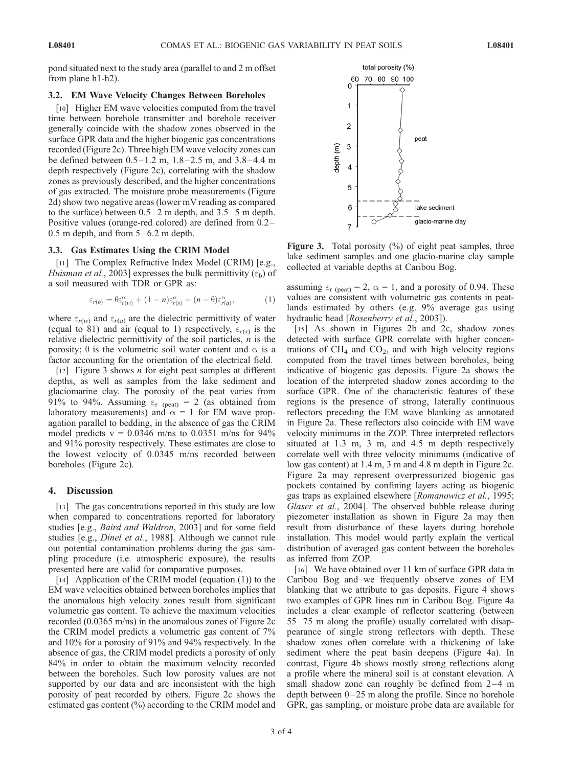#### 3.2. EM Wave Velocity Changes Between Boreholes

[10] Higher EM wave velocities computed from the travel time between borehole transmitter and borehole receiver generally coincide with the shadow zones observed in the surface GPR data and the higher biogenic gas concentrations recorded (Figure 2c). Three high EM wave velocity zones can be defined between  $0.5 - 1.2$  m,  $1.8 - 2.5$  m, and  $3.8 - 4.4$  m depth respectively (Figure 2c), correlating with the shadow zones as previously described, and the higher concentrations of gas extracted. The moisture probe measurements (Figure 2d) show two negative areas (lower mV reading as compared to the surface) between  $0.5-2$  m depth, and  $3.5-5$  m depth. Positive values (orange-red colored) are defined from 0.2–  $0.5$  m depth, and from  $5-6.2$  m depth.

#### 3.3. Gas Estimates Using the CRIM Model

[11] The Complex Refractive Index Model (CRIM) [e.g., Huisman et al., 2003] expresses the bulk permittivity  $(\epsilon_b)$  of a soil measured with TDR or GPR as:

$$
\varepsilon_{r(b)} = \theta \varepsilon_{r(w)}^{\alpha} + (1 - n) \varepsilon_{r(s)}^{\alpha} + (n - \theta) \varepsilon_{r(a)}^{\alpha}, \tag{1}
$$

where  $\varepsilon_{r(w)}$  and  $\varepsilon_{r(a)}$  are the dielectric permittivity of water (equal to 81) and air (equal to 1) respectively,  $\varepsilon_{r(s)}$  is the relative dielectric permittivity of the soil particles,  $n$  is the porosity;  $\theta$  is the volumetric soil water content and  $\alpha$  is a factor accounting for the orientation of the electrical field.

[12] Figure 3 shows *n* for eight peat samples at different depths, as well as samples from the lake sediment and glaciomarine clay. The porosity of the peat varies from 91% to 94%. Assuming  $\varepsilon_r$  (peat) = 2 (as obtained from laboratory measurements) and  $\alpha = 1$  for EM wave propagation parallel to bedding, in the absence of gas the CRIM model predicts  $v = 0.0346$  m/ns to 0.0351 m/ns for 94% and 91% porosity respectively. These estimates are close to the lowest velocity of 0.0345 m/ns recorded between boreholes (Figure 2c).

#### 4. Discussion

[13] The gas concentrations reported in this study are low when compared to concentrations reported for laboratory studies [e.g., Baird and Waldron, 2003] and for some field studies [e.g., *Dinel et al.*, 1988]. Although we cannot rule out potential contamination problems during the gas sampling procedure (i.e. atmospheric exposure), the results presented here are valid for comparative purposes.

[14] Application of the CRIM model (equation (1)) to the EM wave velocities obtained between boreholes implies that the anomalous high velocity zones result from significant volumetric gas content. To achieve the maximum velocities recorded (0.0365 m/ns) in the anomalous zones of Figure 2c the CRIM model predicts a volumetric gas content of 7% and 10% for a porosity of 91% and 94% respectively. In the absence of gas, the CRIM model predicts a porosity of only 84% in order to obtain the maximum velocity recorded between the boreholes. Such low porosity values are not supported by our data and are inconsistent with the high porosity of peat recorded by others. Figure 2c shows the estimated gas content (%) according to the CRIM model and



**Figure 3.** Total porosity  $(\%)$  of eight peat samples, three lake sediment samples and one glacio-marine clay sample collected at variable depths at Caribou Bog.

assuming  $\epsilon_{r}$  (peat) = 2,  $\alpha = 1$ , and a porosity of 0.94. These values are consistent with volumetric gas contents in peatlands estimated by others (e.g. 9% average gas using hydraulic head [Rosenberry et al., 2003]).

[15] As shown in Figures 2b and 2c, shadow zones detected with surface GPR correlate with higher concentrations of  $CH_4$  and  $CO_2$ , and with high velocity regions computed from the travel times between boreholes, being indicative of biogenic gas deposits. Figure 2a shows the location of the interpreted shadow zones according to the surface GPR. One of the characteristic features of these regions is the presence of strong, laterally continuous reflectors preceding the EM wave blanking as annotated in Figure 2a. These reflectors also coincide with EM wave velocity minimums in the ZOP. Three interpreted reflectors situated at 1.3 m, 3 m, and 4.5 m depth respectively correlate well with three velocity minimums (indicative of low gas content) at 1.4 m, 3 m and 4.8 m depth in Figure 2c. Figure 2a may represent overpressurized biogenic gas pockets contained by confining layers acting as biogenic gas traps as explained elsewhere [Romanowicz et al., 1995; Glaser et al., 2004]. The observed bubble release during piezometer installation as shown in Figure 2a may then result from disturbance of these layers during borehole installation. This model would partly explain the vertical distribution of averaged gas content between the boreholes as inferred from ZOP.

[16] We have obtained over 11 km of surface GPR data in Caribou Bog and we frequently observe zones of EM blanking that we attribute to gas deposits. Figure 4 shows two examples of GPR lines run in Caribou Bog. Figure 4a includes a clear example of reflector scattering (between 55– 75 m along the profile) usually correlated with disappearance of single strong reflectors with depth. These shadow zones often correlate with a thickening of lake sediment where the peat basin deepens (Figure 4a). In contrast, Figure 4b shows mostly strong reflections along a profile where the mineral soil is at constant elevation. A small shadow zone can roughly be defined from  $2-4$  m depth between  $0-25$  m along the profile. Since no borehole GPR, gas sampling, or moisture probe data are available for